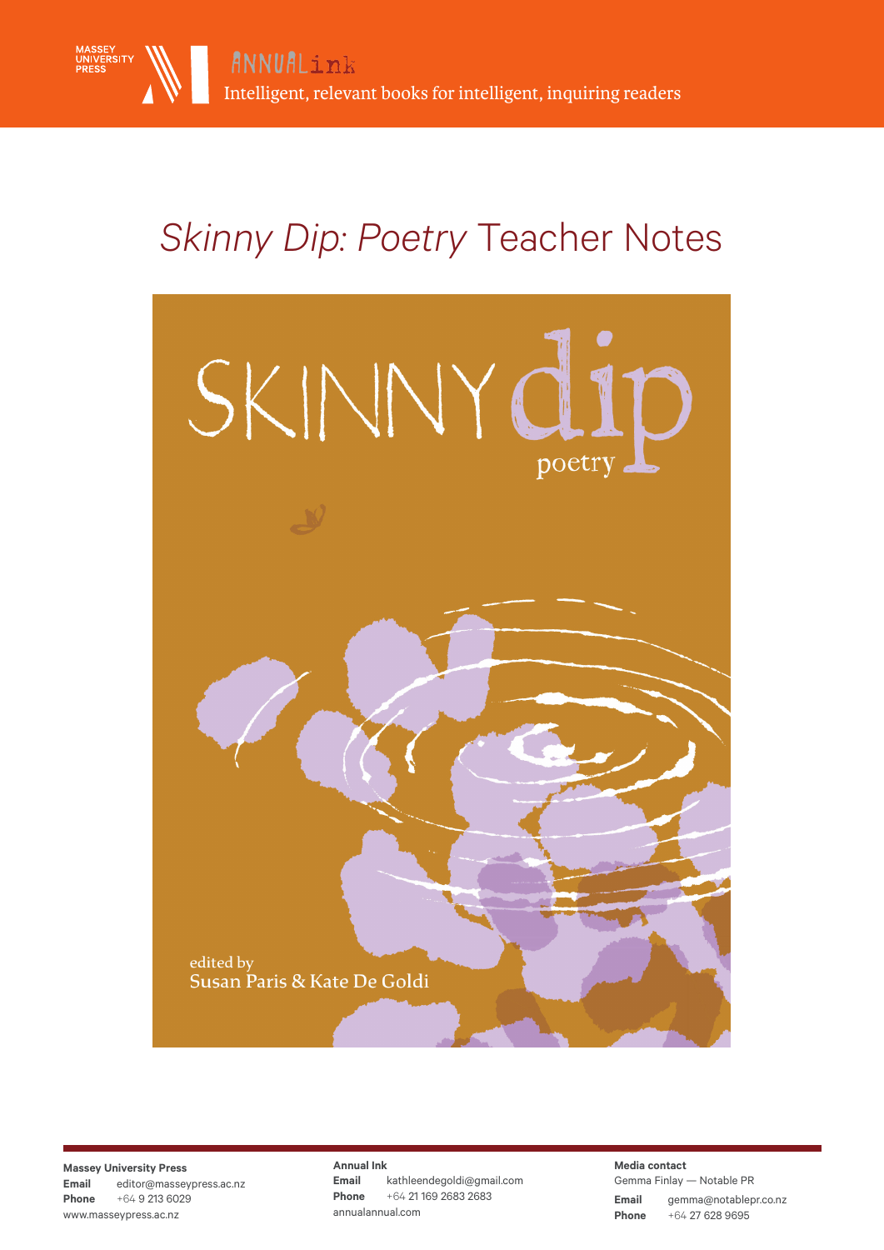

# *Skinny Dip: Poetry* Teacher Notes



**Massey University Press Email** editor@masseypress.ac.nz **Phone** +64 9 213 6029 www.masseypress.ac.nz

**Annual Ink Email** kathleendegoldi@gmail.com **Phone** +64 21 169 2683 2683 annualannual.com

**Email** gemma@notablepr.co.nz **Phone** +64 27 628 9695 **Media contact** Gemma Finlay — Notable PR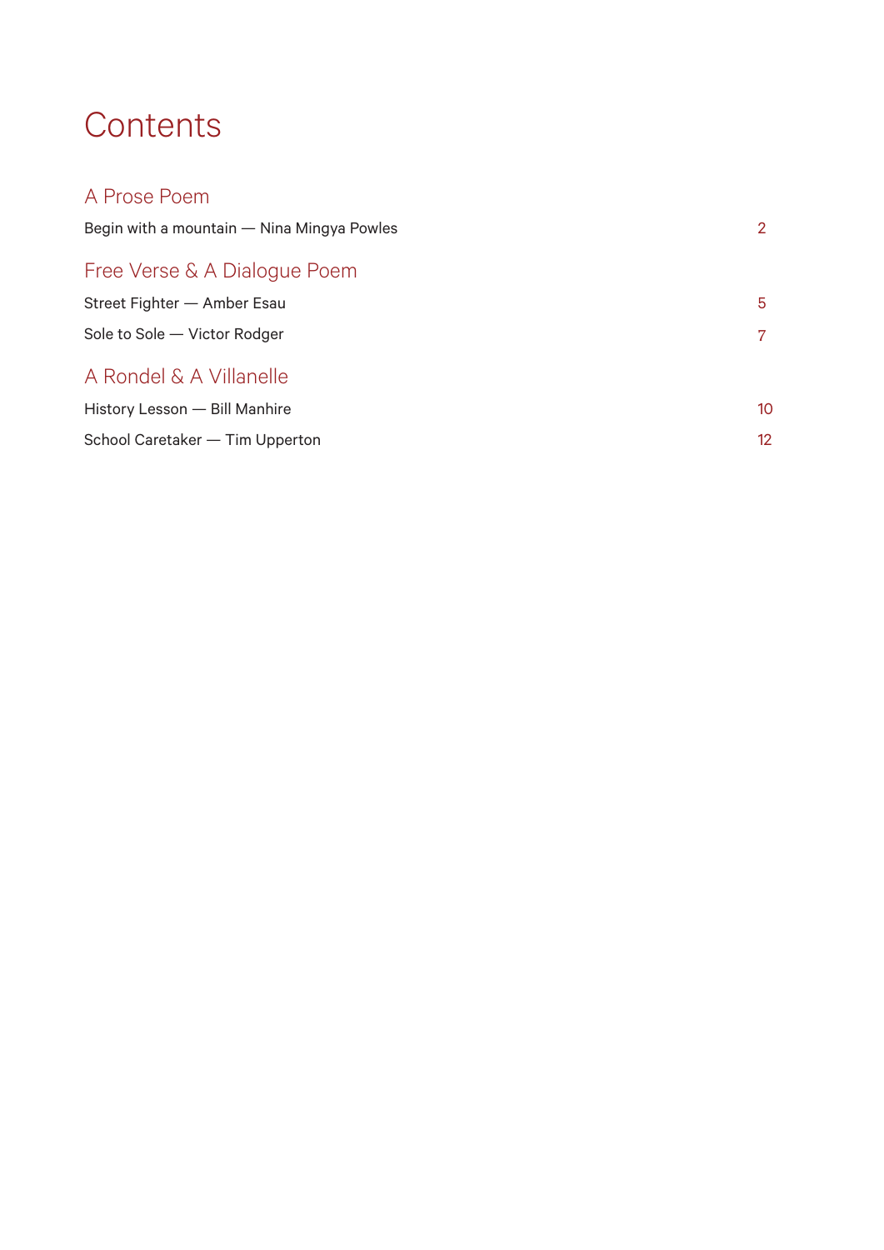## **Contents**

| A Prose Poem                               |    |
|--------------------------------------------|----|
| Begin with a mountain — Nina Mingya Powles | 2  |
| Free Verse & A Dialogue Poem               |    |
| Street Fighter - Amber Esau                | 5. |
| Sole to Sole - Victor Rodger               | 7  |
| A Rondel & A Villanelle                    |    |
| History Lesson - Bill Manhire              | 10 |
| School Caretaker — Tim Upperton            | 12 |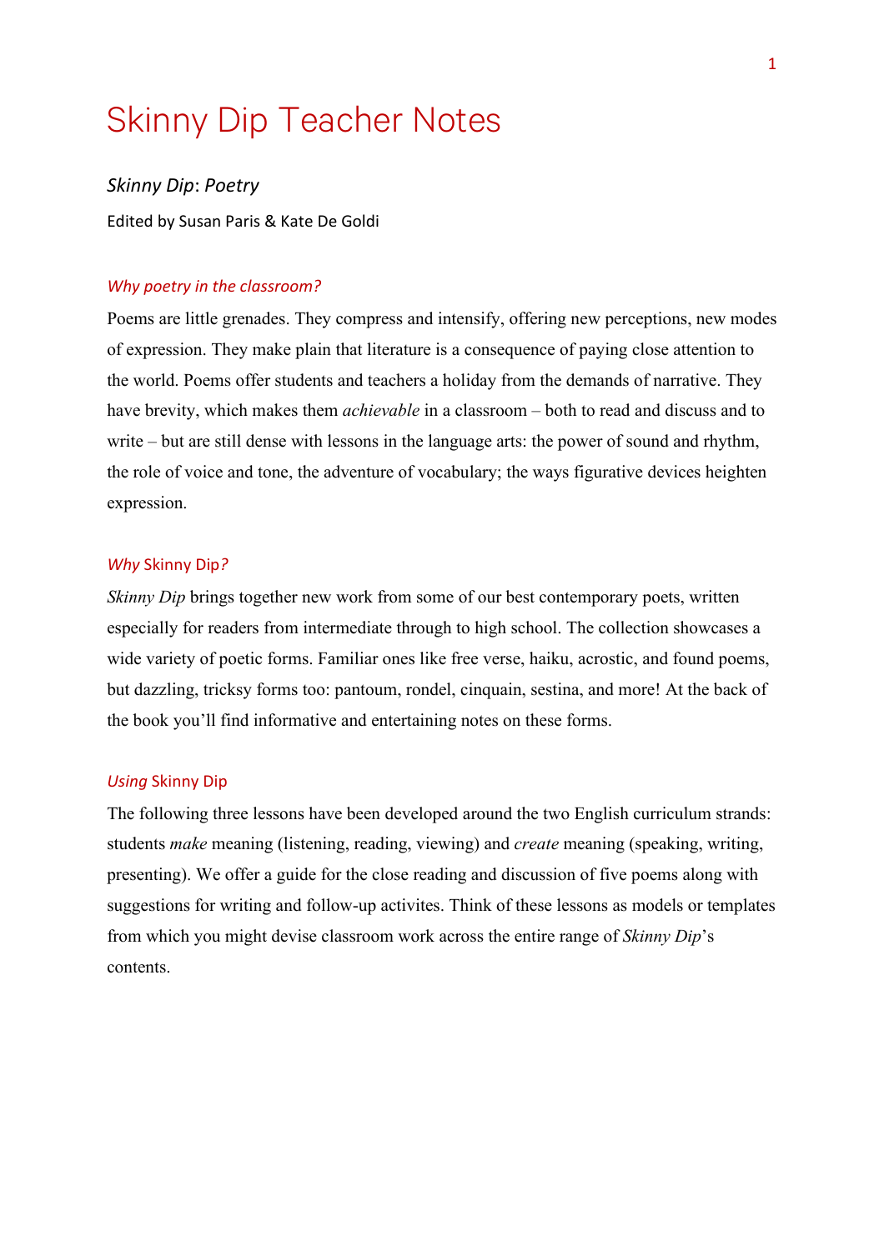## Skinny Dip Teacher Notes

*Skinny Dip*: *Poetry*

Edited by Susan Paris & Kate De Goldi

#### *Why poetry in the classroom?*

Poems are little grenades. They compress and intensify, offering new perceptions, new modes of expression. They make plain that literature is a consequence of paying close attention to the world. Poems offer students and teachers a holiday from the demands of narrative. They have brevity, which makes them *achievable* in a classroom – both to read and discuss and to write – but are still dense with lessons in the language arts: the power of sound and rhythm, the role of voice and tone, the adventure of vocabulary; the ways figurative devices heighten expression.

#### *Why* Skinny Dip*?*

*Skinny Dip* brings together new work from some of our best contemporary poets, written especially for readers from intermediate through to high school. The collection showcases a wide variety of poetic forms. Familiar ones like free verse, haiku, acrostic, and found poems, but dazzling, tricksy forms too: pantoum, rondel, cinquain, sestina, and more! At the back of the book you'll find informative and entertaining notes on these forms.

#### *Using* Skinny Dip

The following three lessons have been developed around the two English curriculum strands: students *make* meaning (listening, reading, viewing) and *create* meaning (speaking, writing, presenting). We offer a guide for the close reading and discussion of five poems along with suggestions for writing and follow-up activites. Think of these lessons as models or templates from which you might devise classroom work across the entire range of *Skinny Dip*'s contents.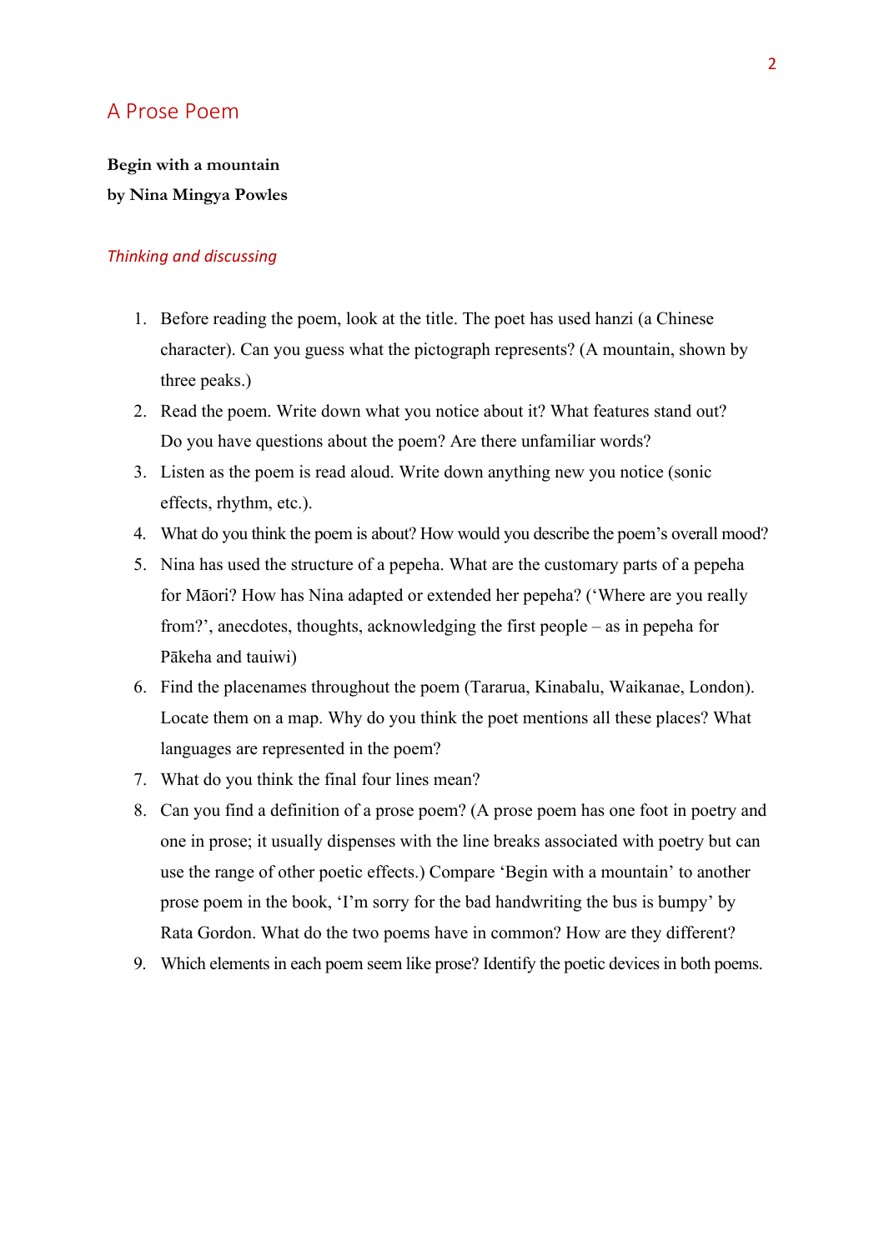### A Prose Poem

## **Begin with a mountain by Nina Mingya Powles**

- 1. Before reading the poem, look at the title. The poet has used hanzi (a Chinese character). Can you guess what the pictograph represents? (A mountain, shown by three peaks.)
- 2. Read the poem. Write down what you notice about it? What features stand out? Do you have questions about the poem? Are there unfamiliar words?
- 3. Listen as the poem is read aloud. Write down anything new you notice (sonic effects, rhythm, etc.).
- 4. What do you think the poem is about? How would you describe the poem's overall mood?
- 5. Nina has used the structure of a pepeha. What are the customary parts of a pepeha for Māori? How has Nina adapted or extended her pepeha? ('Where are you really from?', anecdotes, thoughts, acknowledging the first people – as in pepeha for Pākeha and tauiwi)
- 6. Find the placenames throughout the poem (Tararua, Kinabalu, Waikanae, London). Locate them on a map. Why do you think the poet mentions all these places? What languages are represented in the poem?
- 7. What do you think the final four lines mean?
- 8. Can you find a definition of a prose poem? (A prose poem has one foot in poetry and one in prose; it usually dispenses with the line breaks associated with poetry but can use the range of other poetic effects.) Compare 'Begin with a mountain' to another prose poem in the book, 'I'm sorry for the bad handwriting the bus is bumpy' by Rata Gordon. What do the two poems have in common? How are they different?
- 9. Which elements in each poem seem like prose? Identify the poetic devices in both poems.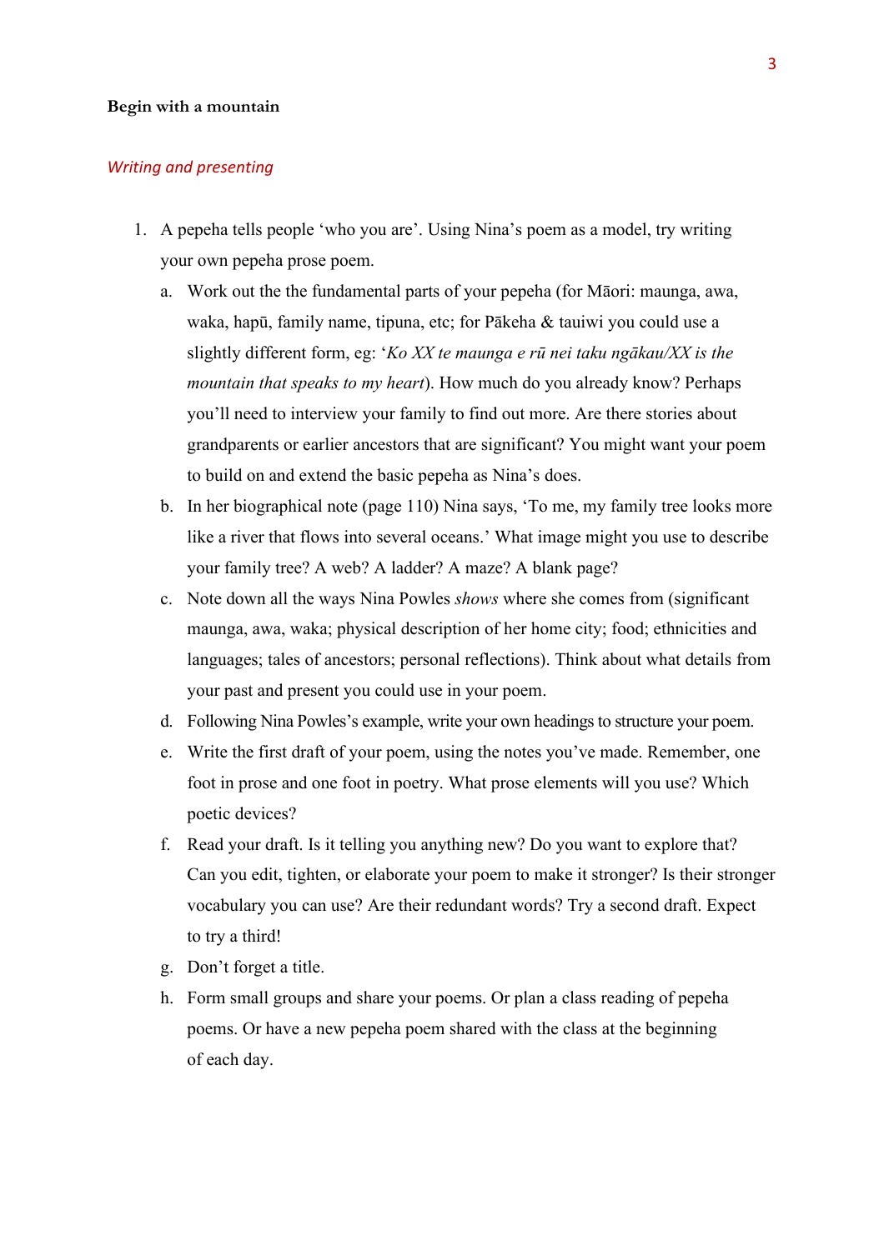#### **Begin with a mountain**

#### *Writing and presenting*

- 1. A pepeha tells people 'who you are'. Using Nina's poem as a model, try writing your own pepeha prose poem.
	- a. Work out the the fundamental parts of your pepeha (for Māori: maunga, awa, waka, hapū, family name, tipuna, etc; for Pākeha & tauiwi you could use a slightly different form, eg: '*Ko XX te maunga e rū nei taku ngākau/XX is the mountain that speaks to my heart*). How much do you already know? Perhaps you'll need to interview your family to find out more. Are there stories about grandparents or earlier ancestors that are significant? You might want your poem to build on and extend the basic pepeha as Nina's does.
	- b. In her biographical note (page 110) Nina says, 'To me, my family tree looks more like a river that flows into several oceans.' What image might you use to describe your family tree? A web? A ladder? A maze? A blank page?
	- c. Note down all the ways Nina Powles *shows* where she comes from (significant maunga, awa, waka; physical description of her home city; food; ethnicities and languages; tales of ancestors; personal reflections). Think about what details from your past and present you could use in your poem.
	- d. Following Nina Powles's example, write your own headings to structure your poem.
	- e. Write the first draft of your poem, using the notes you've made. Remember, one foot in prose and one foot in poetry. What prose elements will you use? Which poetic devices?
	- f. Read your draft. Is it telling you anything new? Do you want to explore that? Can you edit, tighten, or elaborate your poem to make it stronger? Is their stronger vocabulary you can use? Are their redundant words? Try a second draft. Expect to try a third!
	- g. Don't forget a title.
	- h. Form small groups and share your poems. Or plan a class reading of pepeha poems. Or have a new pepeha poem shared with the class at the beginning of each day.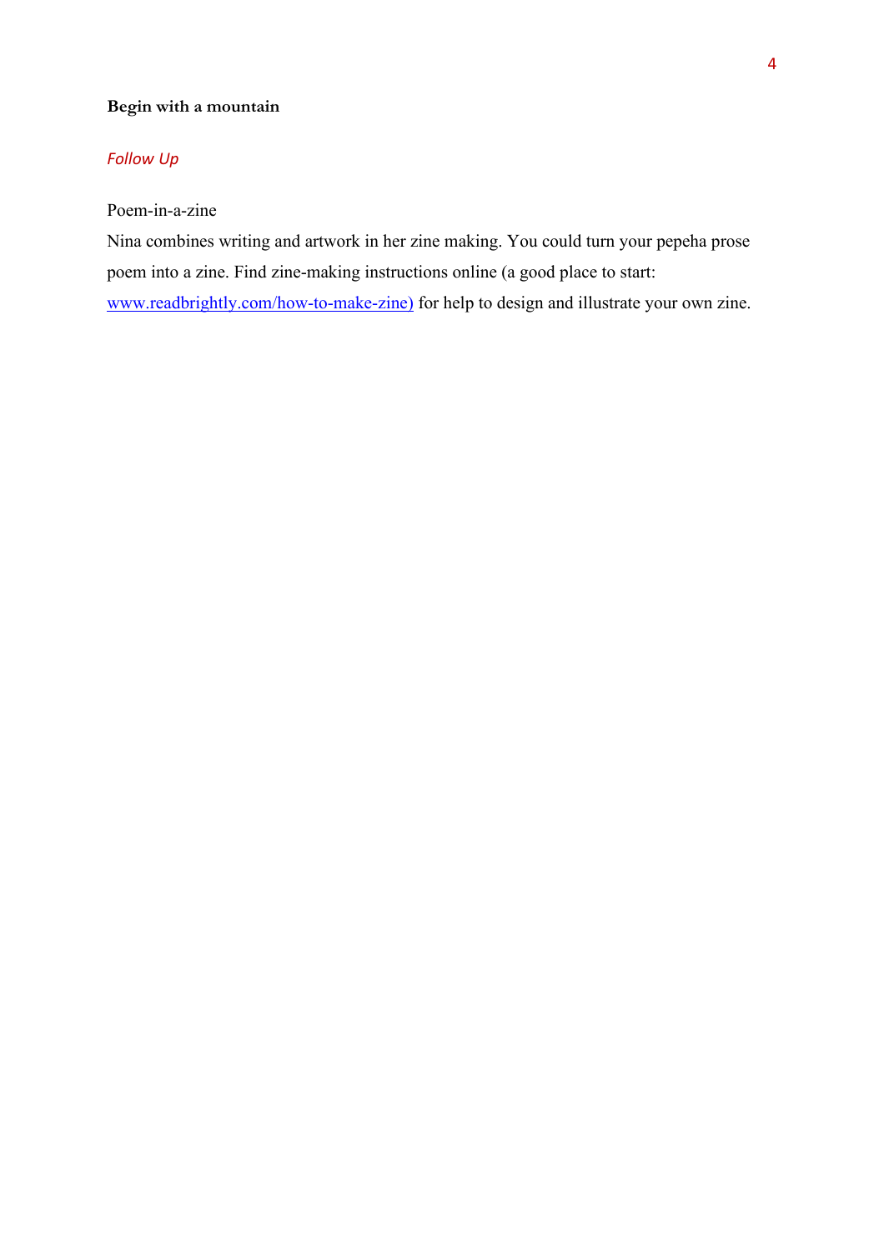#### **Begin with a mountain**

#### *Follow Up*

#### Poem-in-a-zine

Nina combines writing and artwork in her zine making. You could turn your pepeha prose poem into a zine. Find zine-making instructions online (a good place to start: [www.readbrightly.com/how-to-make-zine\)](http://www.readbrightly.com/how-to-make-zine) for help to design and illustrate your own zine.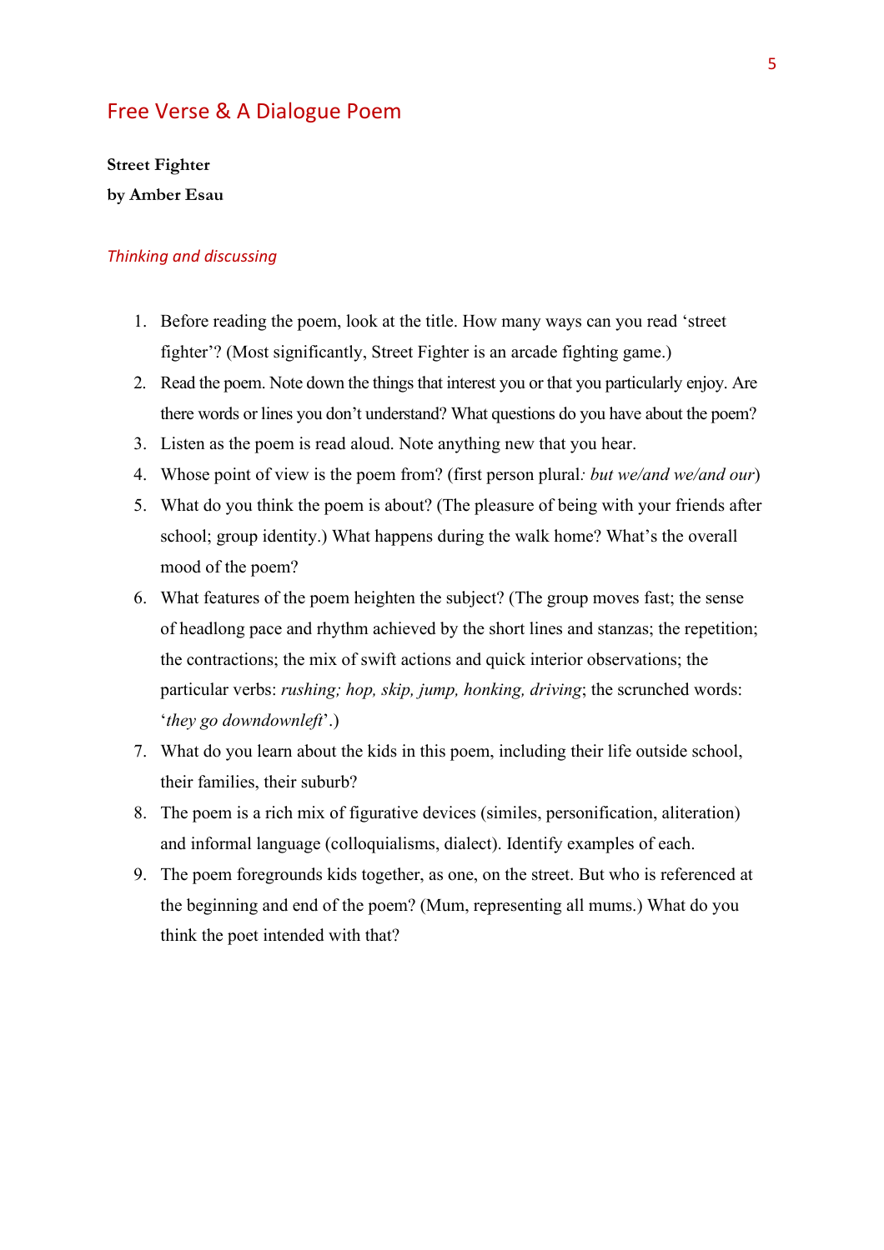### Free Verse & A Dialogue Poem

**Street Fighter by Amber Esau** 

- 1. Before reading the poem, look at the title. How many ways can you read 'street fighter'? (Most significantly, Street Fighter is an arcade fighting game.)
- 2. Read the poem. Note down the things that interest you or that you particularly enjoy. Are there words or lines you don't understand? What questions do you have about the poem?
- 3. Listen as the poem is read aloud. Note anything new that you hear.
- 4. Whose point of view is the poem from? (first person plural*: but we/and we/and our*)
- 5. What do you think the poem is about? (The pleasure of being with your friends after school; group identity.) What happens during the walk home? What's the overall mood of the poem?
- 6. What features of the poem heighten the subject? (The group moves fast; the sense of headlong pace and rhythm achieved by the short lines and stanzas; the repetition; the contractions; the mix of swift actions and quick interior observations; the particular verbs: *rushing; hop, skip, jump, honking, driving*; the scrunched words: '*they go downdownleft*'.)
- 7. What do you learn about the kids in this poem, including their life outside school, their families, their suburb?
- 8. The poem is a rich mix of figurative devices (similes, personification, aliteration) and informal language (colloquialisms, dialect). Identify examples of each.
- 9. The poem foregrounds kids together, as one, on the street. But who is referenced at the beginning and end of the poem? (Mum, representing all mums.) What do you think the poet intended with that?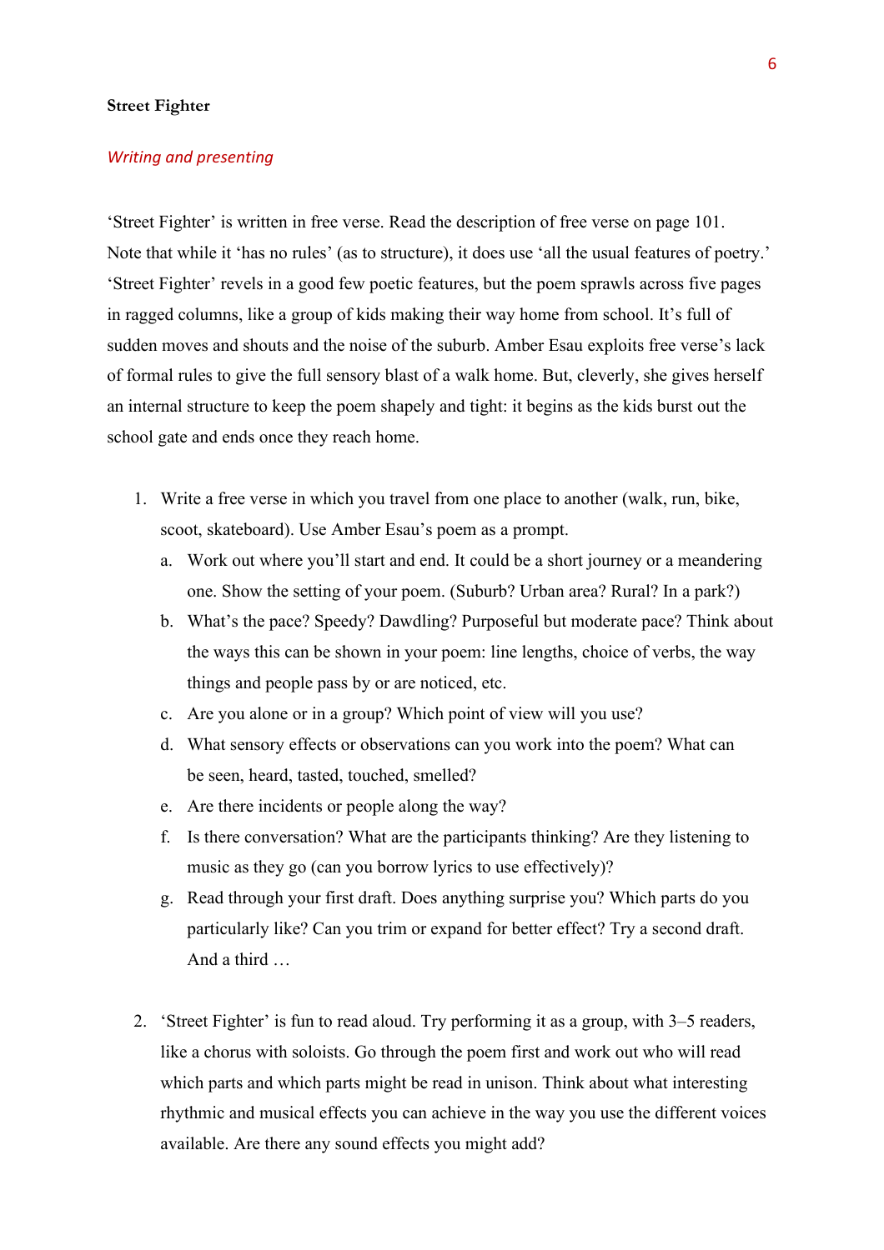#### **Street Fighter**

#### *Writing and presenting*

'Street Fighter' is written in free verse. Read the description of free verse on page 101. Note that while it 'has no rules' (as to structure), it does use 'all the usual features of poetry.' 'Street Fighter' revels in a good few poetic features, but the poem sprawls across five pages in ragged columns, like a group of kids making their way home from school. It's full of sudden moves and shouts and the noise of the suburb. Amber Esau exploits free verse's lack of formal rules to give the full sensory blast of a walk home. But, cleverly, she gives herself an internal structure to keep the poem shapely and tight: it begins as the kids burst out the school gate and ends once they reach home.

- 1. Write a free verse in which you travel from one place to another (walk, run, bike, scoot, skateboard). Use Amber Esau's poem as a prompt.
	- a. Work out where you'll start and end. It could be a short journey or a meandering one. Show the setting of your poem. (Suburb? Urban area? Rural? In a park?)
	- b. What's the pace? Speedy? Dawdling? Purposeful but moderate pace? Think about the ways this can be shown in your poem: line lengths, choice of verbs, the way things and people pass by or are noticed, etc.
	- c. Are you alone or in a group? Which point of view will you use?
	- d. What sensory effects or observations can you work into the poem? What can be seen, heard, tasted, touched, smelled?
	- e. Are there incidents or people along the way?
	- f. Is there conversation? What are the participants thinking? Are they listening to music as they go (can you borrow lyrics to use effectively)?
	- g. Read through your first draft. Does anything surprise you? Which parts do you particularly like? Can you trim or expand for better effect? Try a second draft. And a third …
- 2. 'Street Fighter' is fun to read aloud. Try performing it as a group, with 3–5 readers, like a chorus with soloists. Go through the poem first and work out who will read which parts and which parts might be read in unison. Think about what interesting rhythmic and musical effects you can achieve in the way you use the different voices available. Are there any sound effects you might add?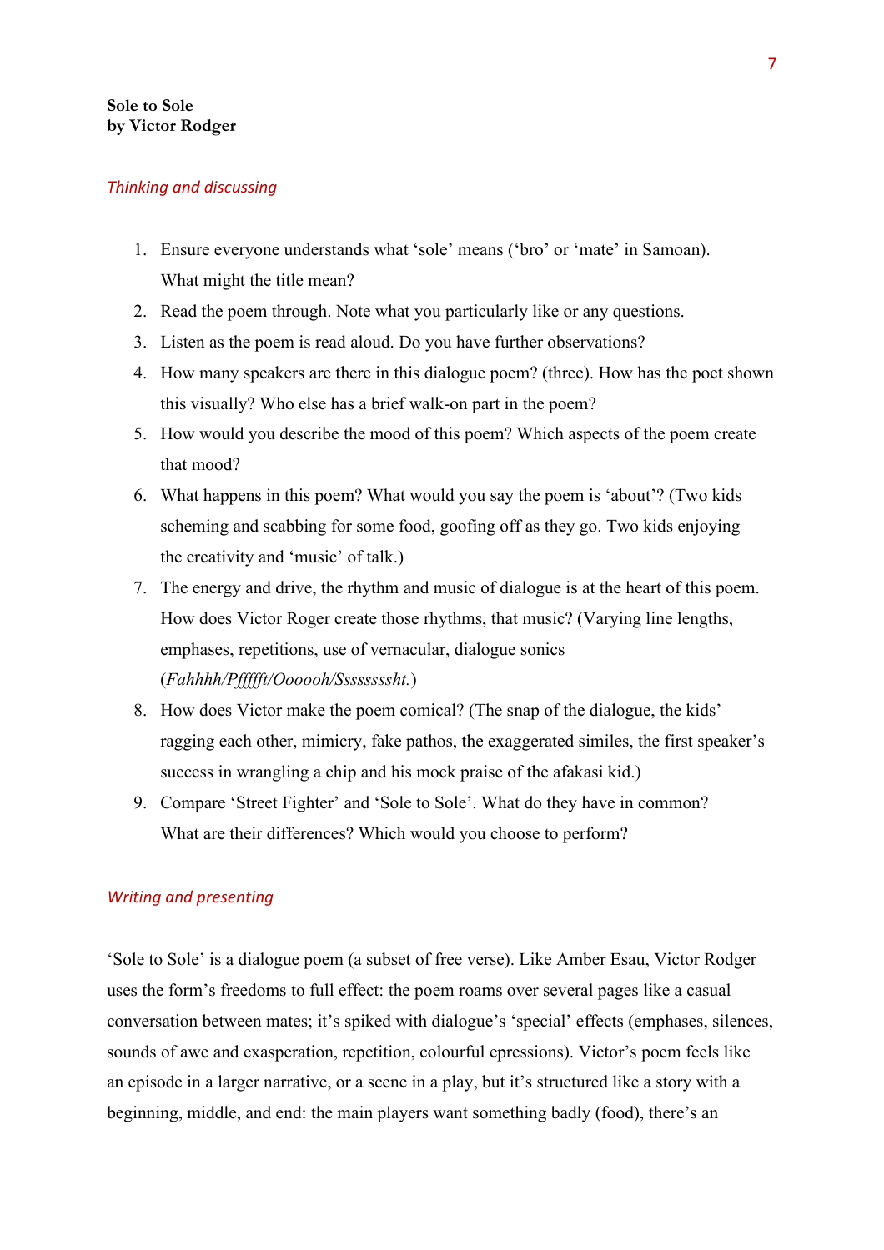#### *Thinking and discussing*

- 1. Ensure everyone understands what 'sole' means ('bro' or 'mate' in Samoan). What might the title mean?
- 2. Read the poem through. Note what you particularly like or any questions.
- 3. Listen as the poem is read aloud. Do you have further observations?
- 4. How many speakers are there in this dialogue poem? (three). How has the poet shown this visually? Who else has a brief walk-on part in the poem?
- 5. How would you describe the mood of this poem? Which aspects of the poem create that mood?
- 6. What happens in this poem? What would you say the poem is 'about'? (Two kids scheming and scabbing for some food, goofing off as they go. Two kids enjoying the creativity and 'music' of talk.)
- 7. The energy and drive, the rhythm and music of dialogue is at the heart of this poem. How does Victor Roger create those rhythms, that music? (Varying line lengths, emphases, repetitions, use of vernacular, dialogue sonics (*Fahhhh/Pffffft/Oooooh/Ssssssssht.*)
- 8. How does Victor make the poem comical? (The snap of the dialogue, the kids' ragging each other, mimicry, fake pathos, the exaggerated similes, the first speaker's success in wrangling a chip and his mock praise of the afakasi kid.)
- 9. Compare 'Street Fighter' and 'Sole to Sole'. What do they have in common? What are their differences? Which would you choose to perform?

#### *Writing and presenting*

'Sole to Sole' is a dialogue poem (a subset of free verse). Like Amber Esau, Victor Rodger uses the form's freedoms to full effect: the poem roams over several pages like a casual conversation between mates; it's spiked with dialogue's 'special' effects (emphases, silences, sounds of awe and exasperation, repetition, colourful epressions). Victor's poem feels like an episode in a larger narrative, or a scene in a play, but it's structured like a story with a beginning, middle, and end: the main players want something badly (food), there's an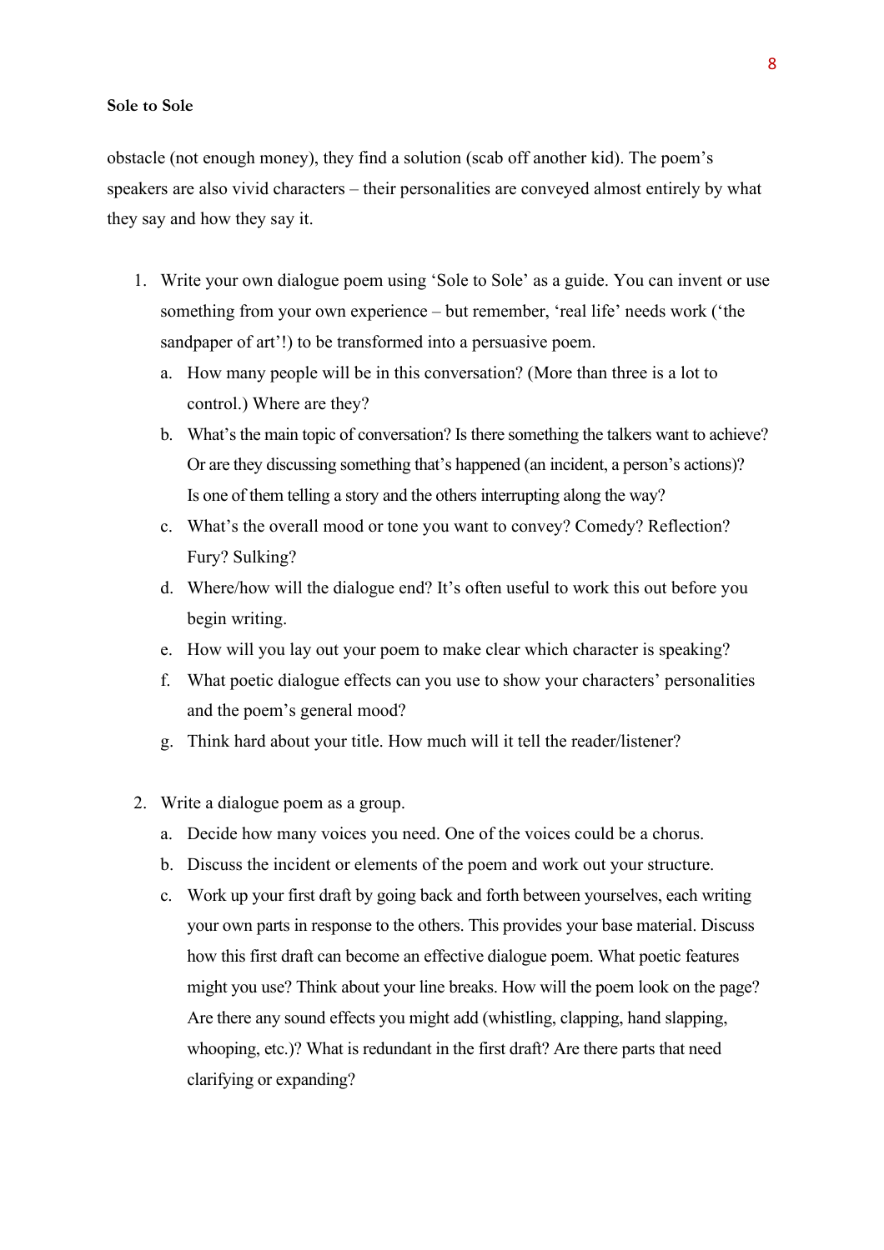#### **Sole to Sole**

obstacle (not enough money), they find a solution (scab off another kid). The poem's speakers are also vivid characters – their personalities are conveyed almost entirely by what they say and how they say it.

- 1. Write your own dialogue poem using 'Sole to Sole' as a guide. You can invent or use something from your own experience – but remember, 'real life' needs work ('the sandpaper of art'!) to be transformed into a persuasive poem.
	- a. How many people will be in this conversation? (More than three is a lot to control.) Where are they?
	- b. What's the main topic of conversation? Is there something the talkers want to achieve? Or are they discussing something that's happened (an incident, a person's actions)? Is one of them telling a story and the others interrupting along the way?
	- c. What's the overall mood or tone you want to convey? Comedy? Reflection? Fury? Sulking?
	- d. Where/how will the dialogue end? It's often useful to work this out before you begin writing.
	- e. How will you lay out your poem to make clear which character is speaking?
	- f. What poetic dialogue effects can you use to show your characters' personalities and the poem's general mood?
	- g. Think hard about your title. How much will it tell the reader/listener?
- 2. Write a dialogue poem as a group.
	- a. Decide how many voices you need. One of the voices could be a chorus.
	- b. Discuss the incident or elements of the poem and work out your structure.
	- c. Work up your first draft by going back and forth between yourselves, each writing your own parts in response to the others. This provides your base material. Discuss how this first draft can become an effective dialogue poem. What poetic features might you use? Think about your line breaks. How will the poem look on the page? Are there any sound effects you might add (whistling, clapping, hand slapping, whooping, etc.)? What is redundant in the first draft? Are there parts that need clarifying or expanding?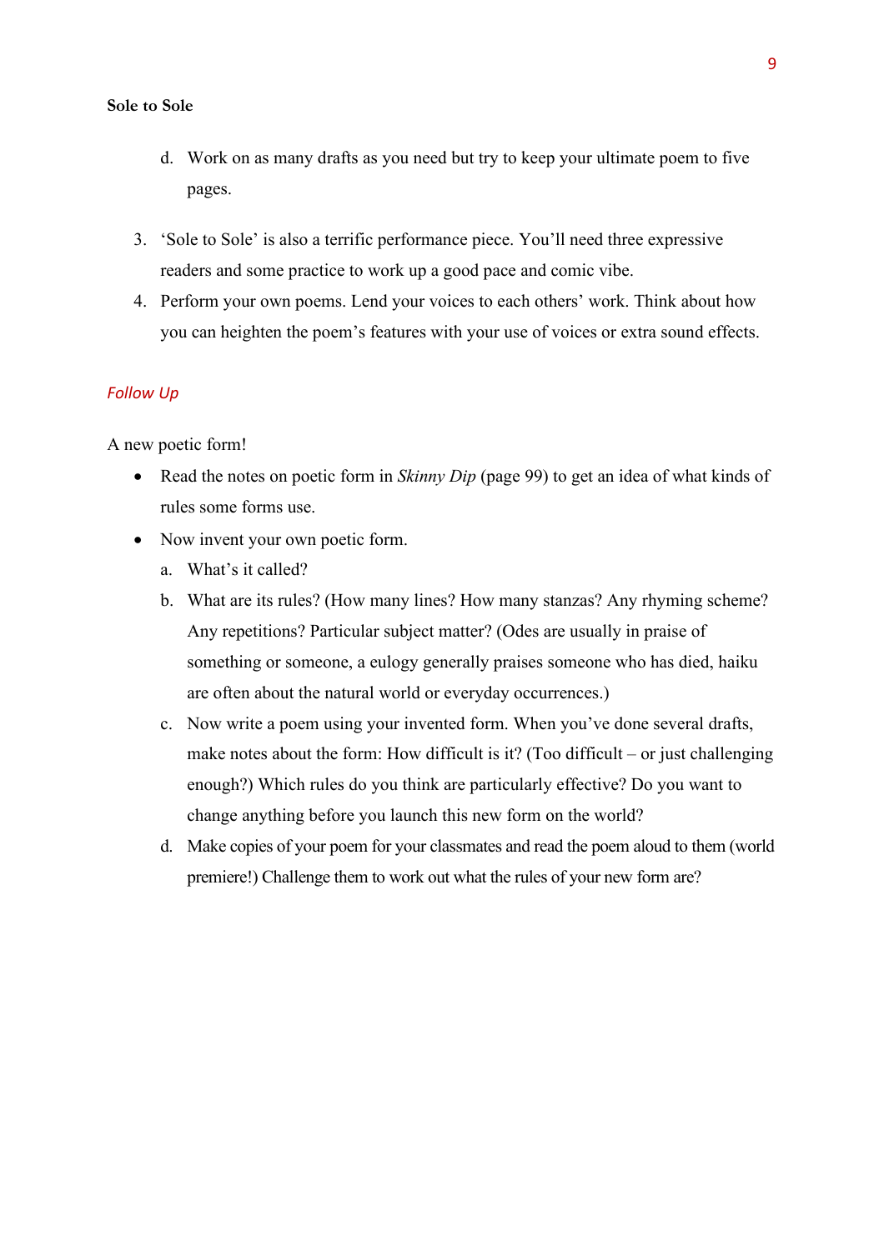#### **Sole to Sole**

- d. Work on as many drafts as you need but try to keep your ultimate poem to five pages.
- 3. 'Sole to Sole' is also a terrific performance piece. You'll need three expressive readers and some practice to work up a good pace and comic vibe.
- 4. Perform your own poems. Lend your voices to each others' work. Think about how you can heighten the poem's features with your use of voices or extra sound effects.

#### *Follow Up*

A new poetic form!

- Read the notes on poetic form in *Skinny Dip* (page 99) to get an idea of what kinds of rules some forms use.
- Now invent your own poetic form.
	- a. What's it called?
	- b. What are its rules? (How many lines? How many stanzas? Any rhyming scheme? Any repetitions? Particular subject matter? (Odes are usually in praise of something or someone, a eulogy generally praises someone who has died, haiku are often about the natural world or everyday occurrences.)
	- c. Now write a poem using your invented form. When you've done several drafts, make notes about the form: How difficult is it? (Too difficult – or just challenging enough?) Which rules do you think are particularly effective? Do you want to change anything before you launch this new form on the world?
	- d. Make copies of your poem for your classmates and read the poem aloud to them (world premiere!) Challenge them to work out what the rules of your new form are?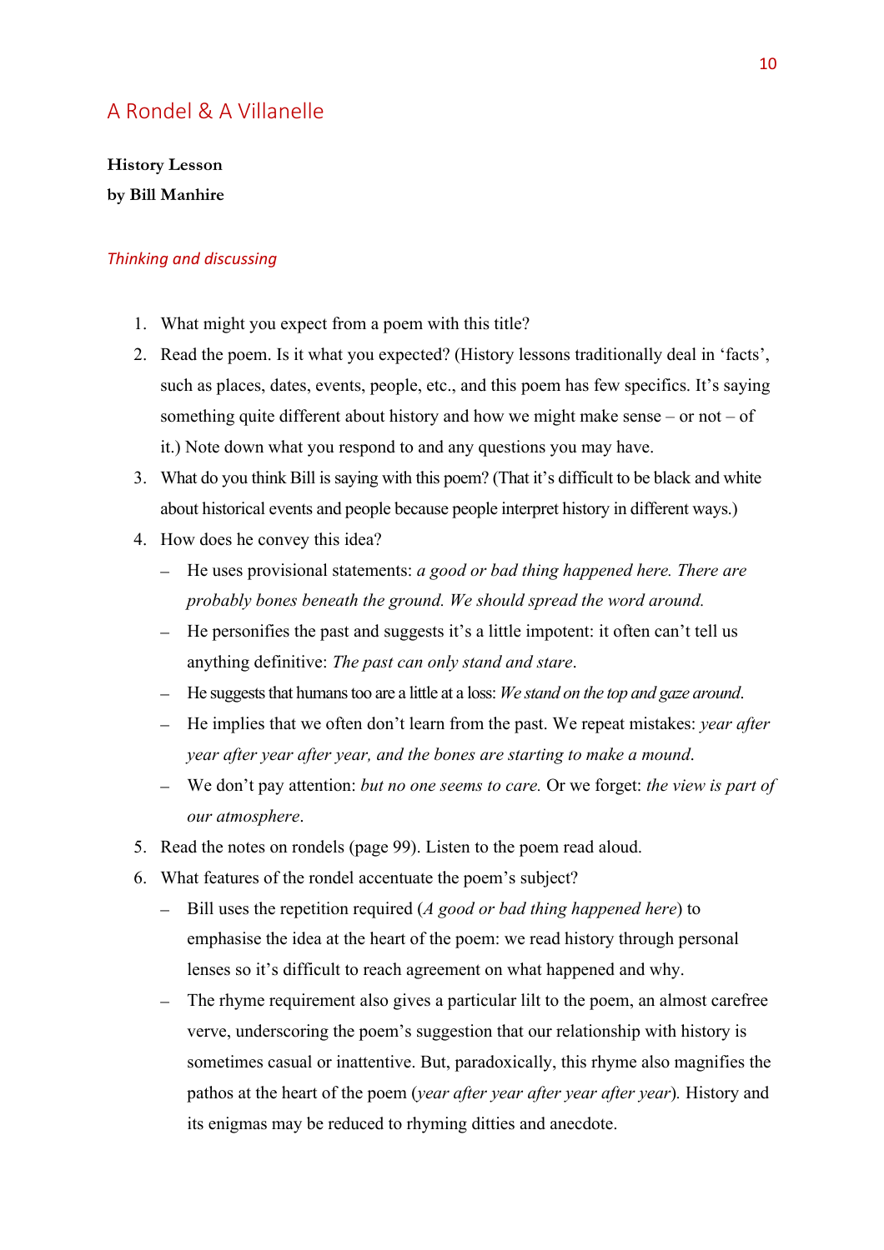## A Rondel & A Villanelle

**History Lesson by Bill Manhire** 

- 1. What might you expect from a poem with this title?
- 2. Read the poem. Is it what you expected? (History lessons traditionally deal in 'facts', such as places, dates, events, people, etc., and this poem has few specifics. It's saying something quite different about history and how we might make sense – or not – of it.) Note down what you respond to and any questions you may have.
- 3. What do you think Bill is saying with this poem? (That it's difficult to be black and white about historical events and people because people interpret history in different ways.)
- 4. How does he convey this idea?
	- He uses provisional statements: *a good or bad thing happened here. There are probably bones beneath the ground. We should spread the word around.*
	- He personifies the past and suggests it's a little impotent: it often can't tell us anything definitive: *The past can only stand and stare*.
	- He suggests that humanstoo are a little at a loss: *We stand on the top and gaze around*.
	- He implies that we often don't learn from the past. We repeat mistakes: *year after year after year after year, and the bones are starting to make a mound*.
	- We don't pay attention: *but no one seems to care.* Or we forget: *the view is part of our atmosphere*.
- 5. Read the notes on rondels (page 99). Listen to the poem read aloud.
- 6. What features of the rondel accentuate the poem's subject?
	- Bill uses the repetition required (*A good or bad thing happened here*) to emphasise the idea at the heart of the poem: we read history through personal lenses so it's difficult to reach agreement on what happened and why.
	- The rhyme requirement also gives a particular lilt to the poem, an almost carefree verve, underscoring the poem's suggestion that our relationship with history is sometimes casual or inattentive. But, paradoxically, this rhyme also magnifies the pathos at the heart of the poem (*year after year after year after year*)*.* History and its enigmas may be reduced to rhyming ditties and anecdote.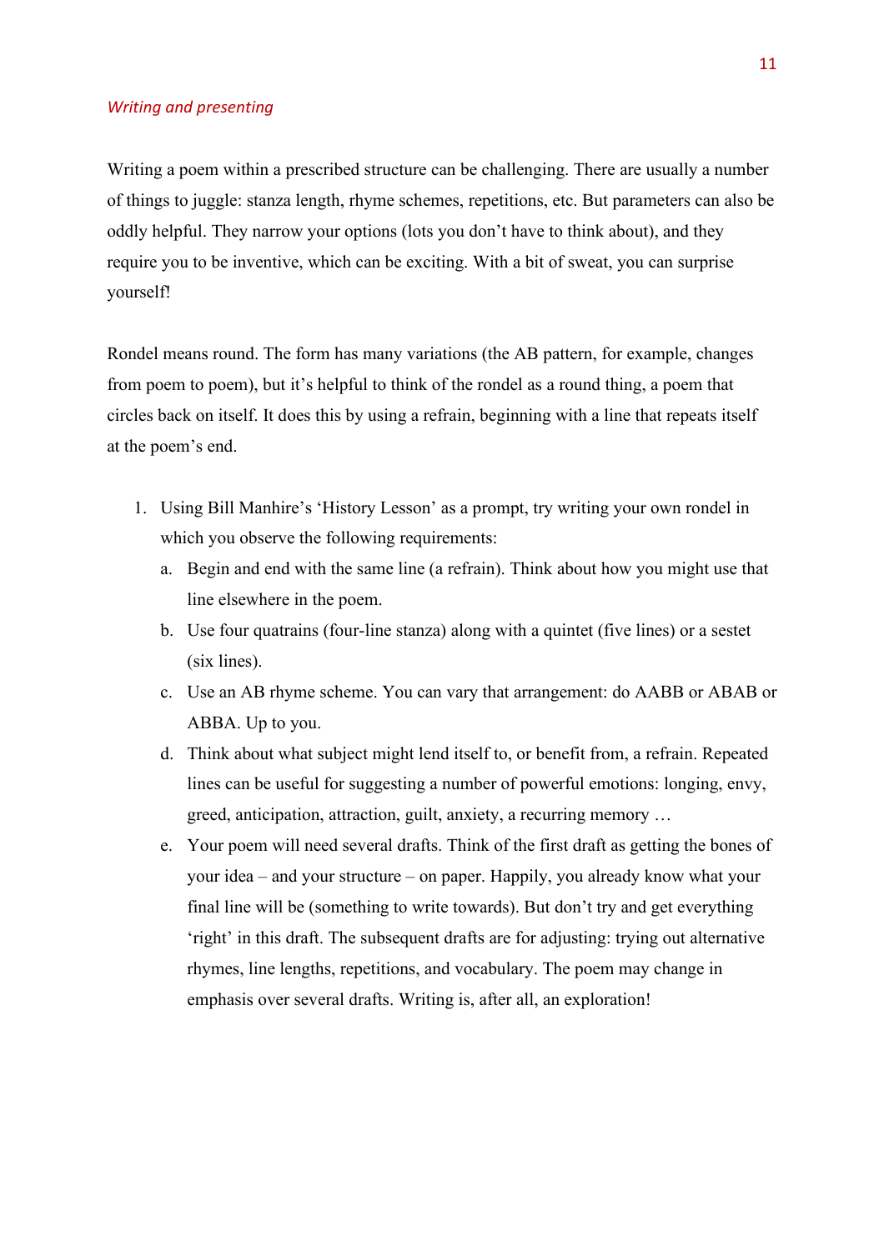#### *Writing and presenting*

Writing a poem within a prescribed structure can be challenging. There are usually a number of things to juggle: stanza length, rhyme schemes, repetitions, etc. But parameters can also be oddly helpful. They narrow your options (lots you don't have to think about), and they require you to be inventive, which can be exciting. With a bit of sweat, you can surprise yourself!

Rondel means round. The form has many variations (the AB pattern, for example, changes from poem to poem), but it's helpful to think of the rondel as a round thing, a poem that circles back on itself. It does this by using a refrain, beginning with a line that repeats itself at the poem's end.

- 1. Using Bill Manhire's 'History Lesson' as a prompt, try writing your own rondel in which you observe the following requirements:
	- a. Begin and end with the same line (a refrain). Think about how you might use that line elsewhere in the poem.
	- b. Use four quatrains (four-line stanza) along with a quintet (five lines) or a sestet (six lines).
	- c. Use an AB rhyme scheme. You can vary that arrangement: do AABB or ABAB or ABBA. Up to you.
	- d. Think about what subject might lend itself to, or benefit from, a refrain. Repeated lines can be useful for suggesting a number of powerful emotions: longing, envy, greed, anticipation, attraction, guilt, anxiety, a recurring memory …
	- e. Your poem will need several drafts. Think of the first draft as getting the bones of your idea – and your structure – on paper. Happily, you already know what your final line will be (something to write towards). But don't try and get everything 'right' in this draft. The subsequent drafts are for adjusting: trying out alternative rhymes, line lengths, repetitions, and vocabulary. The poem may change in emphasis over several drafts. Writing is, after all, an exploration!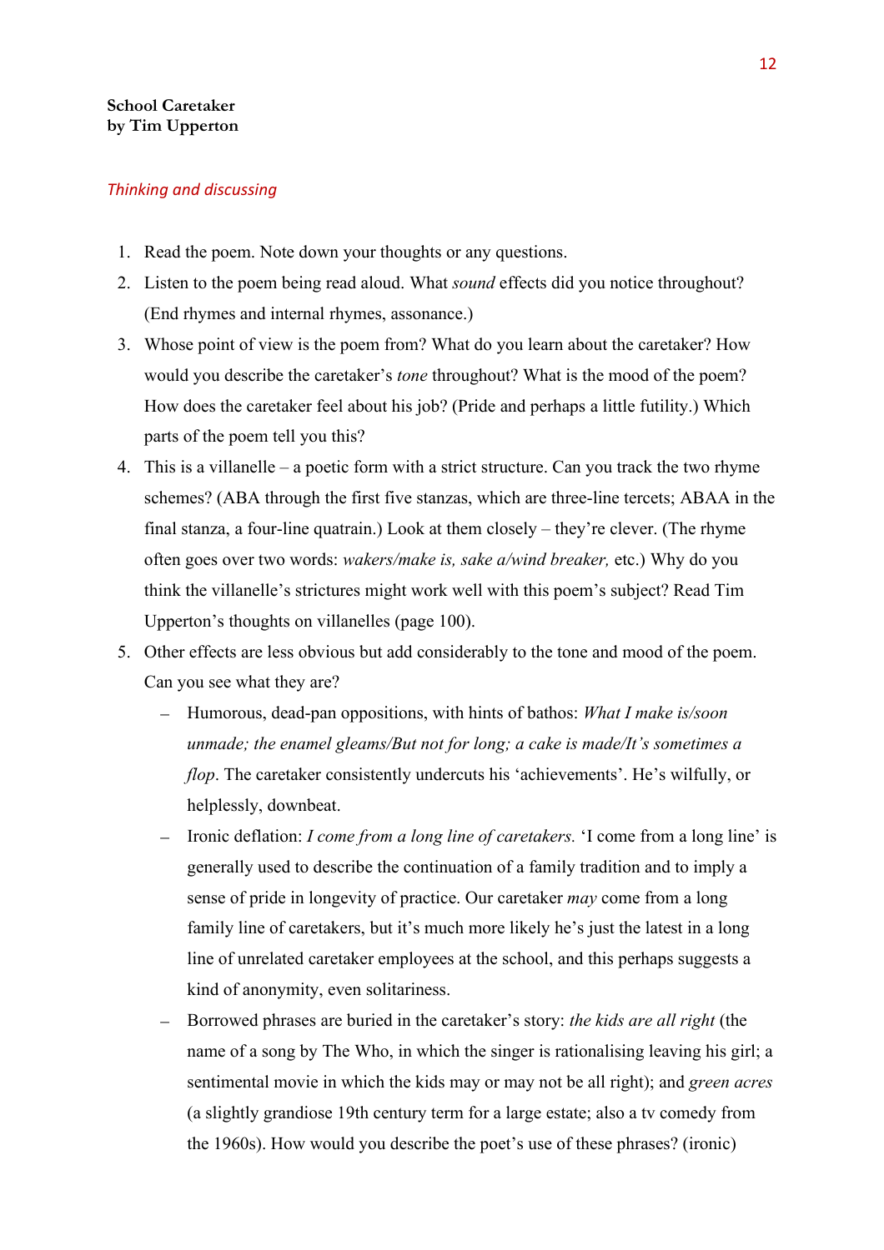#### **School Caretaker by Tim Upperton**

- 1. Read the poem. Note down your thoughts or any questions.
- 2. Listen to the poem being read aloud. What *sound* effects did you notice throughout? (End rhymes and internal rhymes, assonance.)
- 3. Whose point of view is the poem from? What do you learn about the caretaker? How would you describe the caretaker's *tone* throughout? What is the mood of the poem? How does the caretaker feel about his job? (Pride and perhaps a little futility.) Which parts of the poem tell you this?
- 4. This is a villanelle a poetic form with a strict structure. Can you track the two rhyme schemes? (ABA through the first five stanzas, which are three-line tercets; ABAA in the final stanza, a four-line quatrain.) Look at them closely – they're clever. (The rhyme often goes over two words: *wakers/make is, sake a/wind breaker,* etc.) Why do you think the villanelle's strictures might work well with this poem's subject? Read Tim Upperton's thoughts on villanelles (page 100).
- 5. Other effects are less obvious but add considerably to the tone and mood of the poem. Can you see what they are?
	- Humorous, dead-pan oppositions, with hints of bathos: *What I make is/soon unmade; the enamel gleams/But not for long; a cake is made/It's sometimes a flop*. The caretaker consistently undercuts his 'achievements'. He's wilfully, or helplessly, downbeat.
	- Ironic deflation: *I come from a long line of caretakers.* 'I come from a long line' is generally used to describe the continuation of a family tradition and to imply a sense of pride in longevity of practice. Our caretaker *may* come from a long family line of caretakers, but it's much more likely he's just the latest in a long line of unrelated caretaker employees at the school, and this perhaps suggests a kind of anonymity, even solitariness.
	- Borrowed phrases are buried in the caretaker's story: *the kids are all right* (the name of a song by The Who, in which the singer is rationalising leaving his girl; a sentimental movie in which the kids may or may not be all right); and *green acres*  (a slightly grandiose 19th century term for a large estate; also a tv comedy from the 1960s). How would you describe the poet's use of these phrases? (ironic)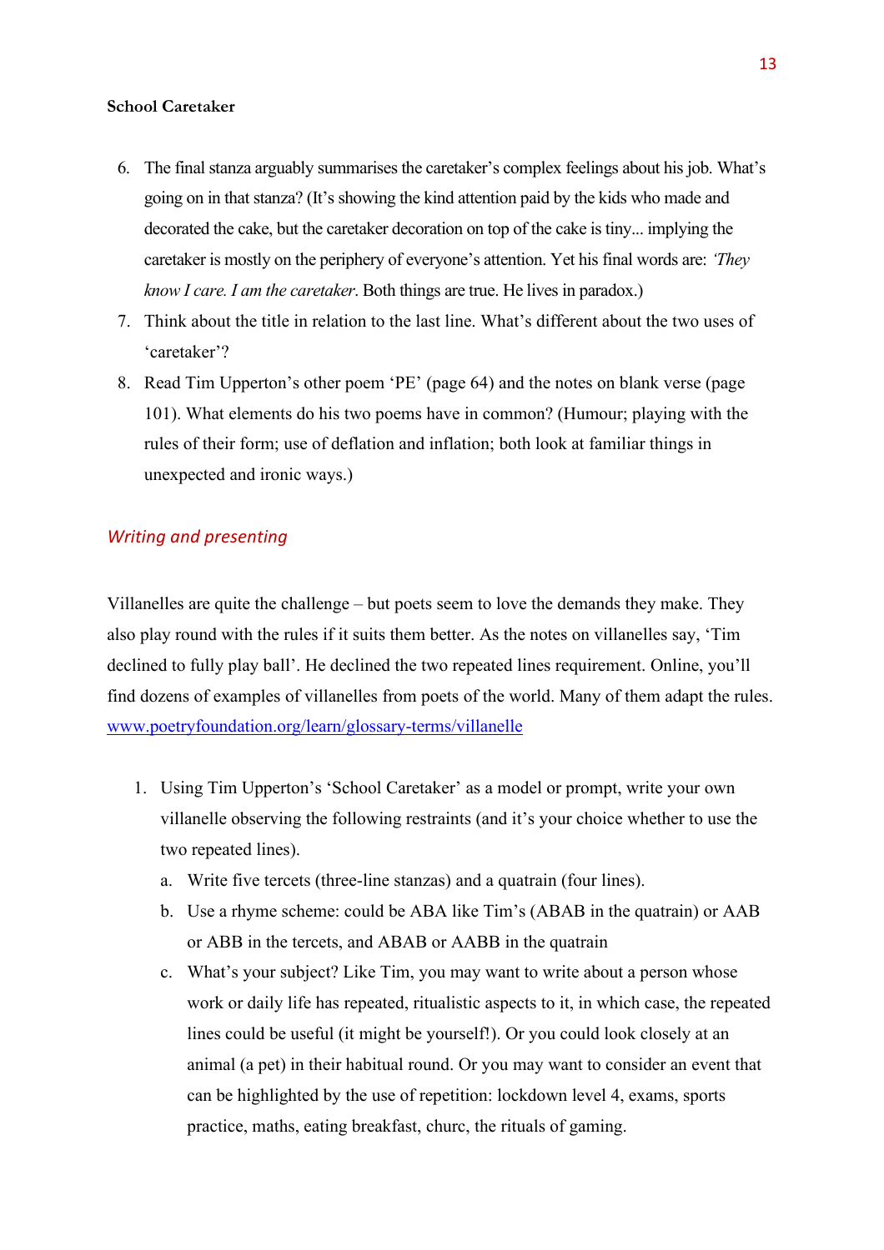#### **School Caretaker**

- 6. The final stanza arguably summarises the caretaker's complex feelings about his job. What's going on in that stanza? (It's showing the kind attention paid by the kids who made and decorated the cake, but the caretaker decoration on top of the cake is tiny... implying the caretaker is mostly on the periphery of everyone's attention. Yet his final words are: *'They know I care. I am the caretaker*. Both things are true. He lives in paradox.)
- 7. Think about the title in relation to the last line. What's different about the two uses of 'caretaker'?
- 8. Read Tim Upperton's other poem 'PE' (page 64) and the notes on blank verse (page 101). What elements do his two poems have in common? (Humour; playing with the rules of their form; use of deflation and inflation; both look at familiar things in unexpected and ironic ways.)

#### *Writing and presenting*

Villanelles are quite the challenge – but poets seem to love the demands they make. They also play round with the rules if it suits them better. As the notes on villanelles say, 'Tim declined to fully play ball'. He declined the two repeated lines requirement. Online, you'll find dozens of examples of villanelles from poets of the world. Many of them adapt the rules. [www.poetryfoundation.org/learn/glossary-terms/villanelle](http://www.poetryfoundation.org/learn/glossary-terms/villanelle)

- 1. Using Tim Upperton's 'School Caretaker' as a model or prompt, write your own villanelle observing the following restraints (and it's your choice whether to use the two repeated lines).
	- a. Write five tercets (three-line stanzas) and a quatrain (four lines).
	- b. Use a rhyme scheme: could be ABA like Tim's (ABAB in the quatrain) or AAB or ABB in the tercets, and ABAB or AABB in the quatrain
	- c. What's your subject? Like Tim, you may want to write about a person whose work or daily life has repeated, ritualistic aspects to it, in which case, the repeated lines could be useful (it might be yourself!). Or you could look closely at an animal (a pet) in their habitual round. Or you may want to consider an event that can be highlighted by the use of repetition: lockdown level 4, exams, sports practice, maths, eating breakfast, churc, the rituals of gaming.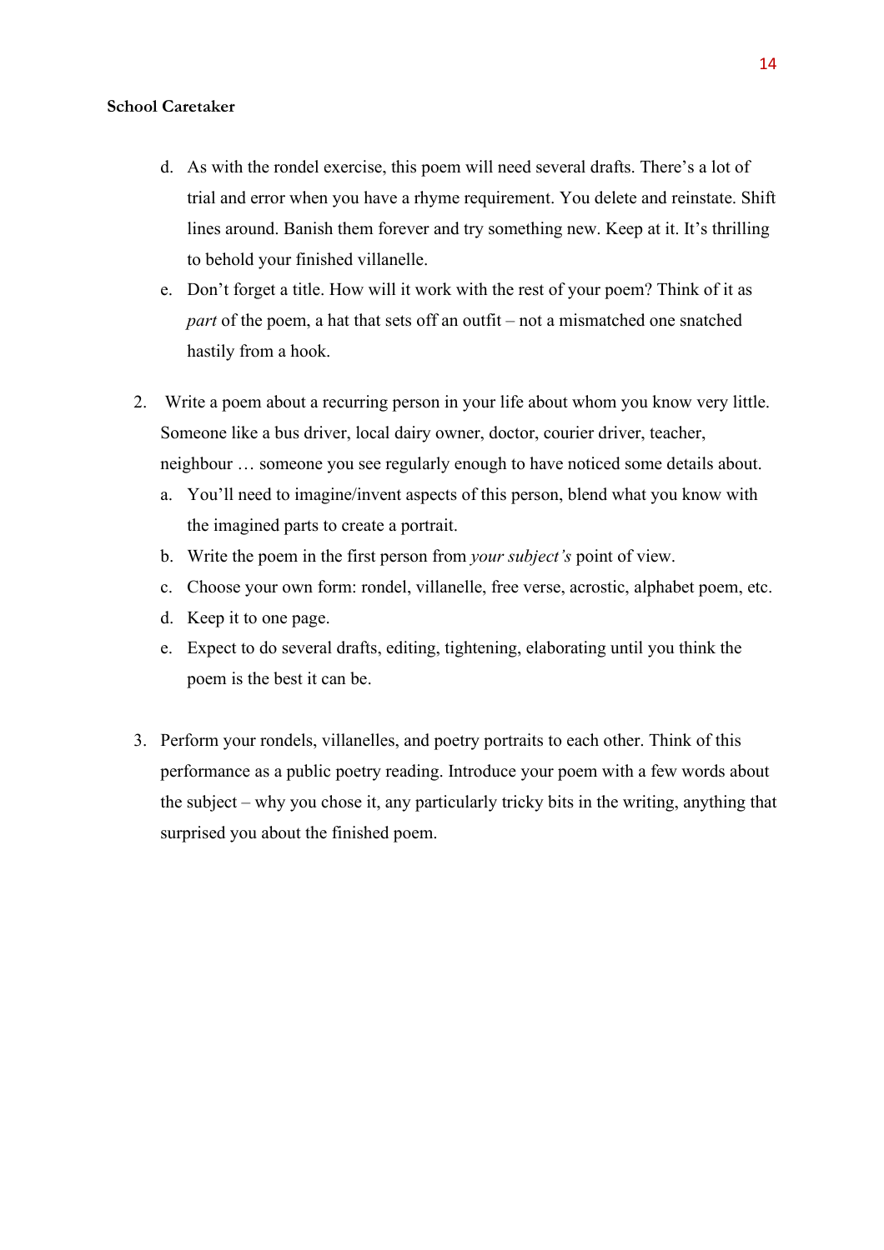#### **School Caretaker**

- d. As with the rondel exercise, this poem will need several drafts. There's a lot of trial and error when you have a rhyme requirement. You delete and reinstate. Shift lines around. Banish them forever and try something new. Keep at it. It's thrilling to behold your finished villanelle.
- e. Don't forget a title. How will it work with the rest of your poem? Think of it as *part* of the poem, a hat that sets off an outfit – not a mismatched one snatched hastily from a hook.
- 2. Write a poem about a recurring person in your life about whom you know very little. Someone like a bus driver, local dairy owner, doctor, courier driver, teacher, neighbour … someone you see regularly enough to have noticed some details about.
	- a. You'll need to imagine/invent aspects of this person, blend what you know with the imagined parts to create a portrait.
	- b. Write the poem in the first person from *your subject's* point of view.
	- c. Choose your own form: rondel, villanelle, free verse, acrostic, alphabet poem, etc.
	- d. Keep it to one page.
	- e. Expect to do several drafts, editing, tightening, elaborating until you think the poem is the best it can be.
- 3. Perform your rondels, villanelles, and poetry portraits to each other. Think of this performance as a public poetry reading. Introduce your poem with a few words about the subject – why you chose it, any particularly tricky bits in the writing, anything that surprised you about the finished poem.